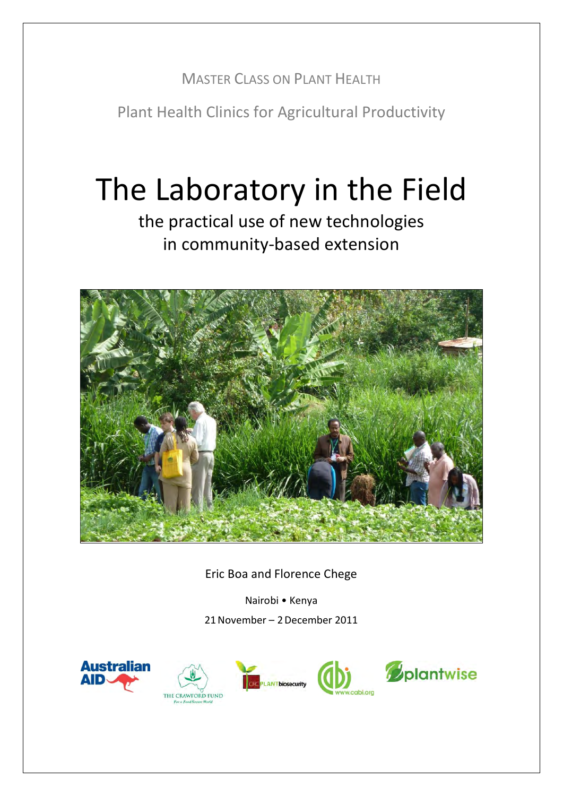# MASTER CLASS ON PLANT HEALTH

Plant Health Clinics for Agricultural Productivity

# The Laboratory in the Field

the practical use of new technologies in community-based extension



Eric Boa and Florence Chege

Nairobi • Kenya 21November – 2December 2011







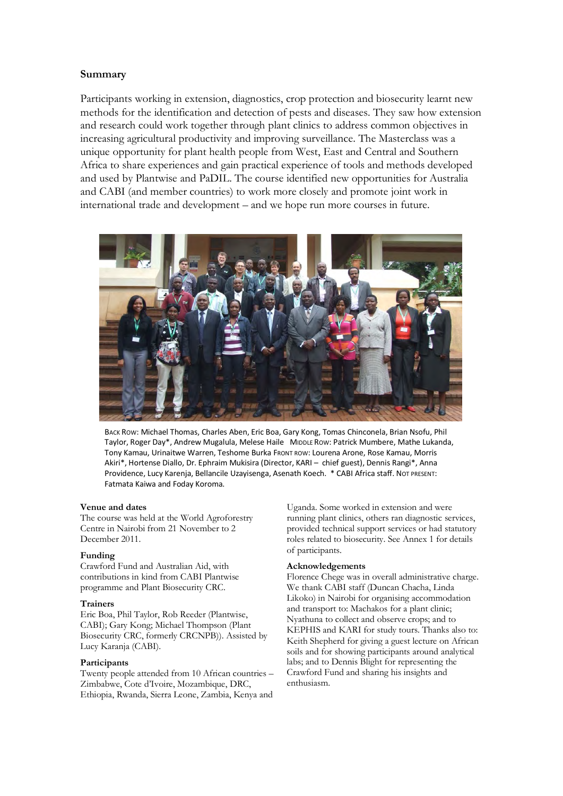#### **Summary**

Participants working in extension, diagnostics, crop protection and biosecurity learnt new methods for the identification and detection of pests and diseases. They saw how extension and research could work together through plant clinics to address common objectives in increasing agricultural productivity and improving surveillance. The Masterclass was a unique opportunity for plant health people from West, East and Central and Southern Africa to share experiences and gain practical experience of tools and methods developed and used by Plantwise and PaDIL. The course identified new opportunities for Australia and CABI (and member countries) to work more closely and promote joint work in international trade and development – and we hope run more courses in future.



BACK ROW: Michael Thomas, Charles Aben, Eric Boa, Gary Kong, Tomas Chinconela, Brian Nsofu, Phil Taylor, Roger Day\*, Andrew Mugalula, Melese Haile MIDDLE ROW: Patrick Mumbere, Mathe Lukanda, Tony Kamau, Urinaitwe Warren, Teshome Burka FRONT ROW: Lourena Arone, Rose Kamau, Morris Akiri\*, Hortense Diallo, Dr. Ephraim Mukisira (Director, KARI – chief guest), Dennis Rangi\*, Anna Providence, Lucy Karenja, Bellancile Uzayisenga, Asenath Koech. \* CABI Africa staff. NOT PRESENT: Fatmata Kaiwa and Foday Koroma.

#### **Venue and dates**

The course was held at the World Agroforestry Centre in Nairobi from 21 November to 2 December 2011.

#### **Funding**

Crawford Fund and Australian Aid, with contributions in kind from CABI Plantwise programme and Plant Biosecurity CRC.

#### **Trainers**

Eric Boa, Phil Taylor, Rob Reeder (Plantwise, CABI); Gary Kong; Michael Thompson (Plant Biosecurity CRC, formerly CRCNPB)). Assisted by Lucy Karanja (CABI).

#### **Participants**

Twenty people attended from 10 African countries – Zimbabwe, Cote d'Ivoire, Mozambique, DRC, Ethiopia, Rwanda, Sierra Leone, Zambia, Kenya and

Uganda. Some worked in extension and were running plant clinics, others ran diagnostic services, provided technical support services or had statutory roles related to biosecurity. See Annex 1 for details of participants.

#### **Acknowledgements**

Florence Chege was in overall administrative charge. We thank CABI staff (Duncan Chacha, Linda Likoko) in Nairobi for organising accommodation and transport to: Machakos for a plant clinic; Nyathuna to collect and observe crops; and to KEPHIS and KARI for study tours. Thanks also to: Keith Shepherd for giving a guest lecture on African soils and for showing participants around analytical labs; and to Dennis Blight for representing the Crawford Fund and sharing his insights and enthusiasm.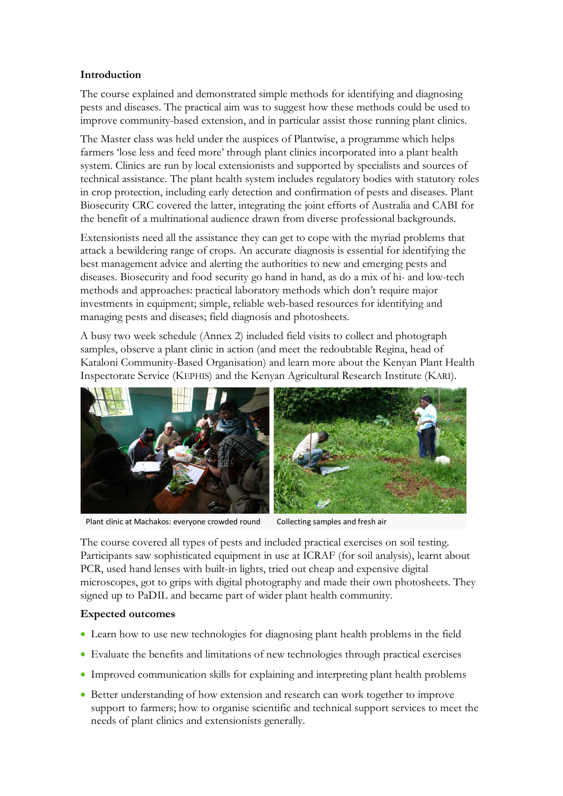### **Introduction**

The course explained and demonstrated simple methods for identifying and diagnosing pests and diseases. The practical aim was to suggest how these methods could be used to improve community-based extension, and in particular assist those running plant clinics.

The Master class was held under the auspices of Plantwise, a programme which helps farmers 'lose less and feed more' through plant clinics incorporated into a plant health system. Clinics are run by local extensionists and supported by specialists and sources of technical assistance. The plant health system includes regulatory bodies with statutory roles in crop protection, including early detection and confirmation of pests and diseases. Plant Biosecurity CRC covered the latter, integrating the joint efforts of Australia and CABI for the benefit of a multinational audience drawn from diverse professional backgrounds.

Extensionists need all the assistance they can get to cope with the myriad problems that attack a bewildering range of crops. An accurate diagnosis is essential for identifying the best management advice and alerting the authorities to new and emerging pests and diseases. Biosecurity and food security go hand in hand, as do a mix of hi- and low-tech methods and approaches: practical laboratory methods which don't require major investments in equipment; simple, reliable web-based resources for identifying and managing pests and diseases; field diagnosis and photosheets.

A busy two week schedule (Annex 2) included field visits to collect and photograph samples, observe a plant clinic in action (and meet the redoubtable Regina, head of Kataloni Community-Based Organisation) and learn more about the Kenyan Plant Health Inspectorate Service (KEPHIS) and the Kenyan Agricultural Research Institute (KARI).



Plant clinic at Machakos: everyone crowded round Collecting samples and fresh air

The course covered all types of pests and included practical exercises on soil testing. Participants saw sophisticated equipment in use at ICRAF (for soil analysis), learnt about PCR, used hand lenses with built-in lights, tried out cheap and expensive digital microscopes, got to grips with digital photography and made their own photosheets. They signed up to PaDIL and became part of wider plant health community.

### **Expected outcomes**

- Learn how to use new technologies for diagnosing plant health problems in the field
- Evaluate the benefits and limitations of new technologies through practical exercises
- Improved communication skills for explaining and interpreting plant health problems
- Better understanding of how extension and research can work together to improve support to farmers; how to organise scientific and technical support services to meet the needs of plant clinics and extensionists generally.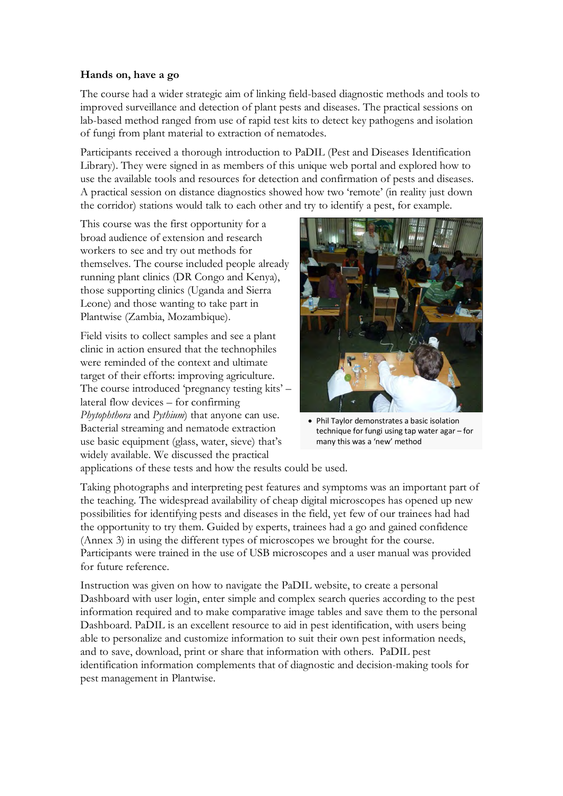### **Hands on, have a go**

The course had a wider strategic aim of linking field-based diagnostic methods and tools to improved surveillance and detection of plant pests and diseases. The practical sessions on lab-based method ranged from use of rapid test kits to detect key pathogens and isolation of fungi from plant material to extraction of nematodes.

Participants received a thorough introduction to PaDIL (Pest and Diseases Identification Library). They were signed in as members of this unique web portal and explored how to use the available tools and resources for detection and confirmation of pests and diseases. A practical session on distance diagnostics showed how two 'remote' (in reality just down the corridor) stations would talk to each other and try to identify a pest, for example.

This course was the first opportunity for a broad audience of extension and research workers to see and try out methods for themselves. The course included people already running plant clinics (DR Congo and Kenya), those supporting clinics (Uganda and Sierra Leone) and those wanting to take part in Plantwise (Zambia, Mozambique).

Field visits to collect samples and see a plant clinic in action ensured that the technophiles were reminded of the context and ultimate target of their efforts: improving agriculture. The course introduced 'pregnancy testing kits' – lateral flow devices – for confirming *Phytophthora* and *Pythium*) that anyone can use. Bacterial streaming and nematode extraction use basic equipment (glass, water, sieve) that's widely available. We discussed the practical



• Phil Taylor demonstrates a basic isolation technique for fungi using tap water agar – for many this was a 'new' method

applications of these tests and how the results could be used.

Taking photographs and interpreting pest features and symptoms was an important part of the teaching. The widespread availability of cheap digital microscopes has opened up new possibilities for identifying pests and diseases in the field, yet few of our trainees had had the opportunity to try them. Guided by experts, trainees had a go and gained confidence (Annex 3) in using the different types of microscopes we brought for the course. Participants were trained in the use of USB microscopes and a user manual was provided for future reference.

Instruction was given on how to navigate the PaDIL website, to create a personal Dashboard with user login, enter simple and complex search queries according to the pest information required and to make comparative image tables and save them to the personal Dashboard. PaDIL is an excellent resource to aid in pest identification, with users being able to personalize and customize information to suit their own pest information needs, and to save, download, print or share that information with others. PaDIL pest identification information complements that of diagnostic and decision-making tools for pest management in Plantwise.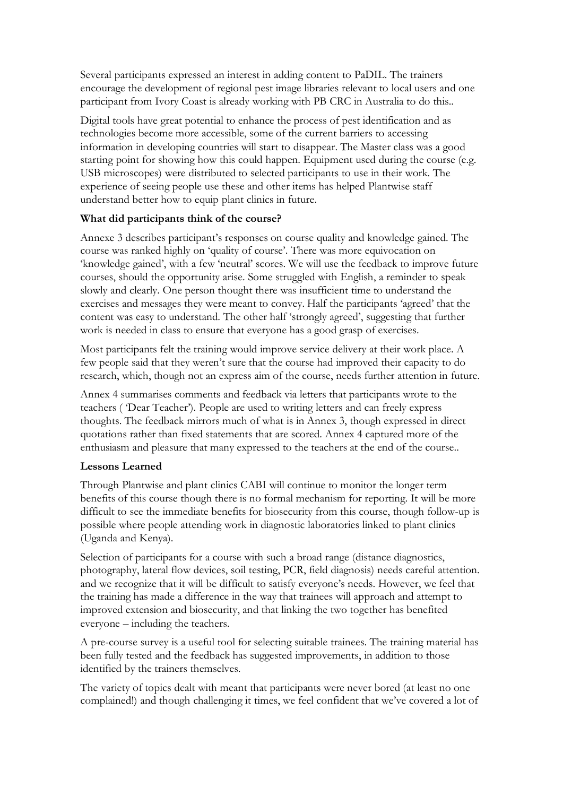Several participants expressed an interest in adding content to PaDIL. The trainers encourage the development of regional pest image libraries relevant to local users and one participant from Ivory Coast is already working with PB CRC in Australia to do this..

Digital tools have great potential to enhance the process of pest identification and as technologies become more accessible, some of the current barriers to accessing information in developing countries will start to disappear. The Master class was a good starting point for showing how this could happen. Equipment used during the course (e.g. USB microscopes) were distributed to selected participants to use in their work. The experience of seeing people use these and other items has helped Plantwise staff understand better how to equip plant clinics in future.

### **What did participants think of the course?**

Annexe 3 describes participant's responses on course quality and knowledge gained. The course was ranked highly on 'quality of course'. There was more equivocation on 'knowledge gained', with a few 'neutral' scores. We will use the feedback to improve future courses, should the opportunity arise. Some struggled with English, a reminder to speak slowly and clearly. One person thought there was insufficient time to understand the exercises and messages they were meant to convey. Half the participants 'agreed' that the content was easy to understand. The other half 'strongly agreed', suggesting that further work is needed in class to ensure that everyone has a good grasp of exercises.

Most participants felt the training would improve service delivery at their work place. A few people said that they weren't sure that the course had improved their capacity to do research, which, though not an express aim of the course, needs further attention in future.

Annex 4 summarises comments and feedback via letters that participants wrote to the teachers ( 'Dear Teacher'). People are used to writing letters and can freely express thoughts. The feedback mirrors much of what is in Annex 3, though expressed in direct quotations rather than fixed statements that are scored. Annex 4 captured more of the enthusiasm and pleasure that many expressed to the teachers at the end of the course..

### **Lessons Learned**

Through Plantwise and plant clinics CABI will continue to monitor the longer term benefits of this course though there is no formal mechanism for reporting. It will be more difficult to see the immediate benefits for biosecurity from this course, though follow-up is possible where people attending work in diagnostic laboratories linked to plant clinics (Uganda and Kenya).

Selection of participants for a course with such a broad range (distance diagnostics, photography, lateral flow devices, soil testing, PCR, field diagnosis) needs careful attention. and we recognize that it will be difficult to satisfy everyone's needs. However, we feel that the training has made a difference in the way that trainees will approach and attempt to improved extension and biosecurity, and that linking the two together has benefited everyone – including the teachers.

A pre-course survey is a useful tool for selecting suitable trainees. The training material has been fully tested and the feedback has suggested improvements, in addition to those identified by the trainers themselves.

The variety of topics dealt with meant that participants were never bored (at least no one complained!) and though challenging it times, we feel confident that we've covered a lot of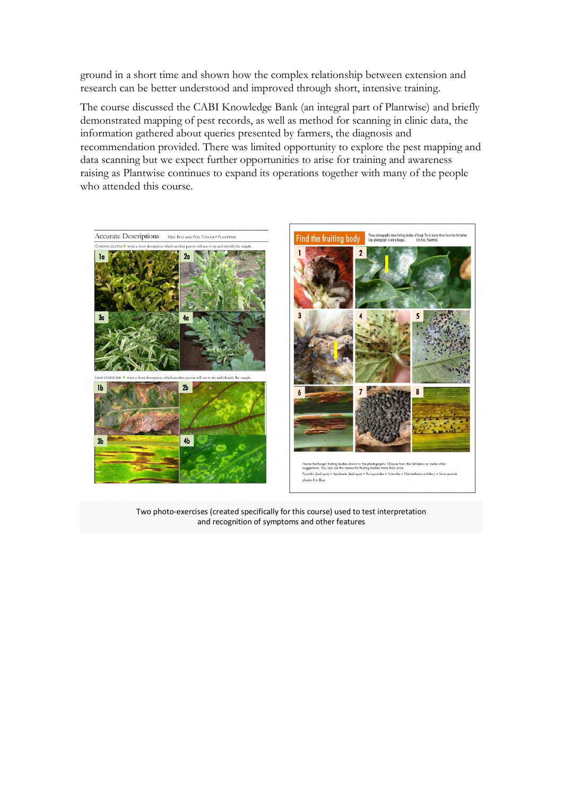ground in a short time and shown how the complex relationship between extension and research can be better understood and improved through short, intensive training.

The course discussed the CABI Knowledge Bank (an integral part of Plantwise) and briefly demonstrated mapping of pest records, as well as method for scanning in clinic data, the information gathered about queries presented by farmers, the diagnosis and recommendation provided. There was limited opportunity to explore the pest mapping and data scanning but we expect further opportunities to arise for training and awareness raising as Plantwise continues to expand its operations together with many of the people who attended this course.



Two photo-exercises (created specifically for this course) used to test interpretation and recognition of symptoms and other features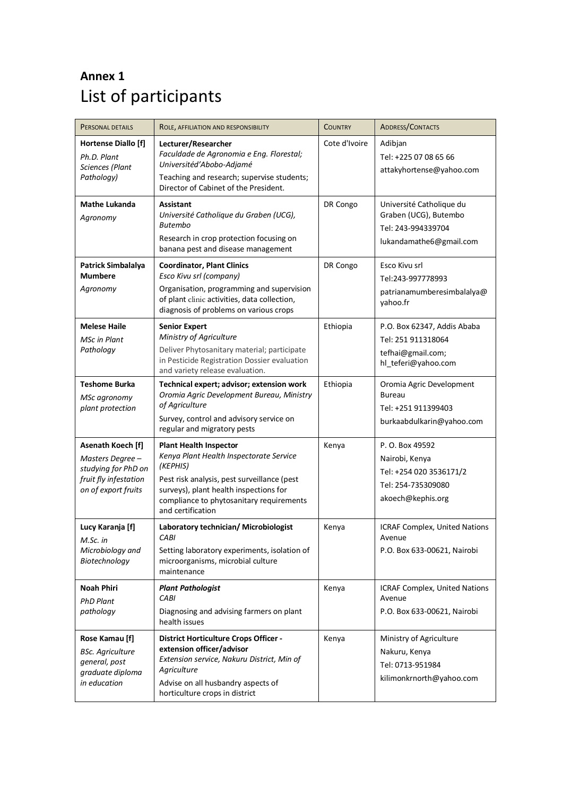# **Annex 1** List of participants

| PERSONAL DETAILS                                                                                            | ROLE, AFFILIATION AND RESPONSIBILITY                                                                                                                                                                                                           | <b>COUNTRY</b> | <b>ADDRESS/CONTACTS</b>                                                                                 |  |  |
|-------------------------------------------------------------------------------------------------------------|------------------------------------------------------------------------------------------------------------------------------------------------------------------------------------------------------------------------------------------------|----------------|---------------------------------------------------------------------------------------------------------|--|--|
| <b>Hortense Diallo [f]</b><br>Ph.D. Plant<br>Sciences (Plant<br>Pathology)                                  | Lecturer/Researcher<br>Faculdade de Agronomia e Eng. Florestal;<br>Universitéd'Abobo-Adjamé<br>Teaching and research; supervise students;<br>Director of Cabinet of the President.                                                             | Cote d'Ivoire  | Adibjan<br>Tel: +225 07 08 65 66<br>attakyhortense@yahoo.com                                            |  |  |
| <b>Mathe Lukanda</b><br>Agronomy                                                                            | Assistant<br>Université Catholique du Graben (UCG),<br><b>Butembo</b><br>Research in crop protection focusing on<br>banana pest and disease management                                                                                         | DR Congo       | Université Catholique du<br>Graben (UCG), Butembo<br>Tel: 243-994339704<br>lukandamathe6@gmail.com      |  |  |
| Patrick Simbalalya<br><b>Mumbere</b><br>Agronomy                                                            | <b>Coordinator, Plant Clinics</b><br>Esco Kivu srl (company)<br>Organisation, programming and supervision<br>of plant clinic activities, data collection,<br>diagnosis of problems on various crops                                            | DR Congo       | Esco Kivu srl<br>Tel:243-997778993<br>patrianamumberesimbalalya@<br>yahoo.fr                            |  |  |
| <b>Melese Haile</b><br><b>MSc in Plant</b><br>Pathology                                                     | <b>Senior Expert</b><br>Ministry of Agriculture<br>Deliver Phytosanitary material; participate<br>in Pesticide Registration Dossier evaluation<br>and variety release evaluation.                                                              | Ethiopia       | P.O. Box 62347, Addis Ababa<br>Tel: 251 911318064<br>tefhai@gmail.com;<br>hl_teferi@yahoo.com           |  |  |
| <b>Teshome Burka</b><br>MSc agronomy<br>plant protection                                                    | Technical expert; advisor; extension work<br>Oromia Agric Development Bureau, Ministry<br>of Agriculture<br>Survey, control and advisory service on<br>regular and migratory pests                                                             | Ethiopia       | Oromia Agric Development<br><b>Bureau</b><br>Tel: +251 911399403<br>burkaabdulkarin@yahoo.com           |  |  |
| Asenath Koech [f]<br>Masters Degree-<br>studying for PhD on<br>fruit fly infestation<br>on of export fruits | <b>Plant Health Inspector</b><br>Kenya Plant Health Inspectorate Service<br>(KEPHIS)<br>Pest risk analysis, pest surveillance (pest<br>surveys), plant health inspections for<br>compliance to phytosanitary requirements<br>and certification | Kenya          | P. O. Box 49592<br>Nairobi, Kenya<br>Tel: +254 020 3536171/2<br>Tel: 254-735309080<br>akoech@kephis.org |  |  |
| Lucy Karanja [f]<br>M.Sc. in<br>Microbiology and<br>Biotechnology                                           | Laboratory technician/ Microbiologist<br>CABI<br>Setting laboratory experiments, isolation of<br>microorganisms, microbial culture<br>maintenance                                                                                              | Kenya          | ICRAF Complex, United Nations<br>Avenue<br>P.O. Box 633-00621, Nairobi                                  |  |  |
| <b>Noah Phiri</b><br><b>PhD Plant</b><br>pathology                                                          | <b>Plant Pathologist</b><br>CABI<br>Diagnosing and advising farmers on plant<br>health issues                                                                                                                                                  | Kenya          | ICRAF Complex, United Nations<br>Avenue<br>P.O. Box 633-00621, Nairobi                                  |  |  |
| Rose Kamau [f]<br><b>BSc. Agriculture</b><br>general, post<br>graduate diploma<br>in education              | District Horticulture Crops Officer -<br>extension officer/advisor<br>Extension service, Nakuru District, Min of<br>Agriculture<br>Advise on all husbandry aspects of<br>horticulture crops in district                                        | Kenya          | Ministry of Agriculture<br>Nakuru, Kenya<br>Tel: 0713-951984<br>kilimonkrnorth@yahoo.com                |  |  |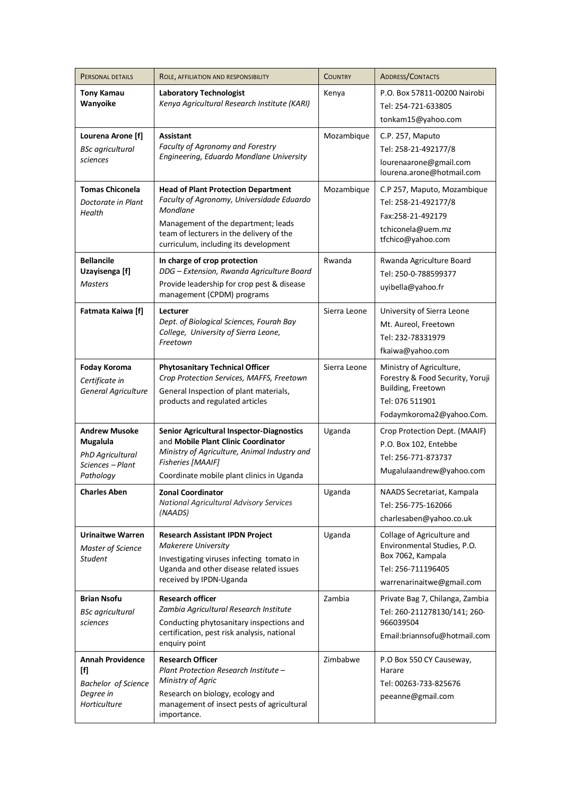| PERSONAL DETAILS                                                                                 | ROLE, AFFILIATION AND RESPONSIBILITY                                                                                                                                                                                            | <b>COUNTRY</b> | <b>ADDRESS/CONTACTS</b>                                                                                                           |  |  |
|--------------------------------------------------------------------------------------------------|---------------------------------------------------------------------------------------------------------------------------------------------------------------------------------------------------------------------------------|----------------|-----------------------------------------------------------------------------------------------------------------------------------|--|--|
| <b>Tony Kamau</b><br>Wanyoike                                                                    | <b>Laboratory Technologist</b><br>Kenya Agricultural Research Institute (KARI)                                                                                                                                                  | Kenya          | P.O. Box 57811-00200 Nairobi<br>Tel: 254-721-633805<br>tonkam15@yahoo.com                                                         |  |  |
| Lourena Arone [f]<br><b>BSc</b> agricultural<br>sciences                                         | Assistant<br>Faculty of Agronomy and Forestry<br>Engineering, Eduardo Mondlane University                                                                                                                                       | Mozambique     | C.P. 257, Maputo<br>Tel: 258-21-492177/8<br>lourenaarone@gmail.com<br>lourena.arone@hotmail.com                                   |  |  |
| <b>Tomas Chiconela</b><br>Doctorate in Plant<br>Health                                           | <b>Head of Plant Protection Department</b><br>Faculty of Agronomy, Universidade Eduardo<br>Mondlane<br>Management of the department; leads<br>team of lecturers in the delivery of the<br>curriculum, including its development | Mozambique     | C.P 257, Maputo, Mozambique<br>Tel: 258-21-492177/8<br>Fax:258-21-492179<br>tchiconela@uem.mz<br>tfchico@yahoo.com                |  |  |
| <b>Bellancile</b><br>Uzayisenga [f]<br><b>Masters</b>                                            | In charge of crop protection<br>DDG - Extension, Rwanda Agriculture Board<br>Provide leadership for crop pest & disease<br>management (CPDM) programs                                                                           | Rwanda         | Rwanda Agriculture Board<br>Tel: 250-0-788599377<br>uyibella@yahoo.fr                                                             |  |  |
| <b>Fatmata Kaiwa [f]</b>                                                                         | Lecturer<br>Dept. of Biological Sciences, Fourah Bay<br>College, University of Sierra Leone,<br>Freetown                                                                                                                        | Sierra Leone   | University of Sierra Leone<br>Mt. Aureol, Freetown<br>Tel: 232-78331979<br>fkaiwa@yahoo.com                                       |  |  |
| <b>Foday Koroma</b><br>Certificate in<br>General Agriculture                                     | <b>Phytosanitary Technical Officer</b><br>Crop Protection Services, MAFFS, Freetown<br>General Inspection of plant materials,<br>products and regulated articles                                                                | Sierra Leone   | Ministry of Agriculture,<br>Forestry & Food Security, Yoruji<br>Building, Freetown<br>Tel: 076 511901<br>Fodaymkoroma2@yahoo.Com. |  |  |
| <b>Andrew Musoke</b><br>Mugalula<br>PhD Agricultural<br>Sciences - Plant<br>Pathology            | Senior Agricultural Inspector-Diagnostics<br>and Mobile Plant Clinic Coordinator<br>Ministry of Agriculture, Animal Industry and<br><b>Fisheries [MAAIF]</b><br>Coordinate mobile plant clinics in Uganda                       | Uganda         | Crop Protection Dept. (MAAIF)<br>P.O. Box 102, Entebbe<br>Tel: 256-771-873737<br>Mugalulaandrew@yahoo.com                         |  |  |
| <b>Charles Aben</b>                                                                              | <b>Zonal Coordinator</b><br><b>National Agricultural Advisory Services</b><br>(NAADS)                                                                                                                                           | Uganda         | NAADS Secretariat, Kampala<br>Tel: 256-775-162066<br>charlesaben@yahoo.co.uk                                                      |  |  |
| <b>Urinaitwe Warren</b><br>Master of Science<br><b>Student</b>                                   | <b>Research Assistant IPDN Project</b><br><b>Makerere University</b><br>Investigating viruses infecting tomato in<br>Uganda and other disease related issues<br>received by IPDN-Uganda                                         | Uganda         | Collage of Agriculture and<br>Environmental Studies, P.O.<br>Box 7062, Kampala<br>Tel: 256-711196405<br>warrenarinaitwe@gmail.com |  |  |
| <b>Brian Nsofu</b><br>BSc agricultural<br>sciences                                               | <b>Research officer</b><br>Zambia Agricultural Research Institute<br>Conducting phytosanitary inspections and<br>certification, pest risk analysis, national<br>enquiry point                                                   | Zambia         | Private Bag 7, Chilanga, Zambia<br>Tel: 260-211278130/141; 260-<br>966039504<br>Email:briannsofu@hotmail.com                      |  |  |
| <b>Annah Providence</b><br>[f]<br><b>Bachelor</b> of Science<br>Degree in<br><b>Horticulture</b> | <b>Research Officer</b><br>Plant Protection Research Institute -<br>Ministry of Agric<br>Research on biology, ecology and<br>management of insect pests of agricultural<br>importance.                                          | Zimbabwe       | P.O Box 550 CY Causeway,<br>Harare<br>Tel: 00263-733-825676<br>peeanne@gmail.com                                                  |  |  |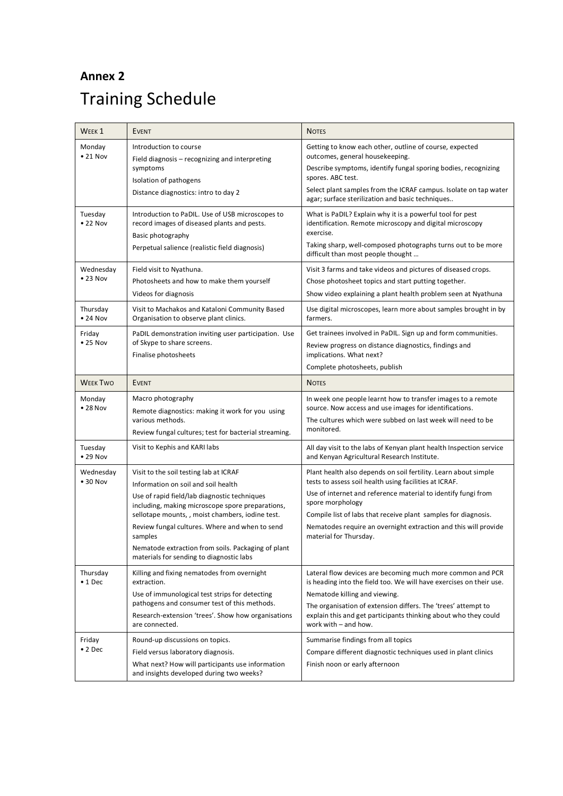# **Annex 2** Training Schedule

| WEEK <sub>1</sub>             | <b>EVENT</b>                                                                                                                                                                                                                                                                                                                                                                                         | <b>NOTES</b>                                                                                                                                                                                                                                                                                                                                                                  |
|-------------------------------|------------------------------------------------------------------------------------------------------------------------------------------------------------------------------------------------------------------------------------------------------------------------------------------------------------------------------------------------------------------------------------------------------|-------------------------------------------------------------------------------------------------------------------------------------------------------------------------------------------------------------------------------------------------------------------------------------------------------------------------------------------------------------------------------|
| Monday<br>$\bullet$ 21 Nov    | Introduction to course<br>Field diagnosis - recognizing and interpreting<br>symptoms<br>Isolation of pathogens<br>Distance diagnostics: intro to day 2                                                                                                                                                                                                                                               | Getting to know each other, outline of course, expected<br>outcomes, general housekeeping.<br>Describe symptoms, identify fungal sporing bodies, recognizing<br>spores. ABC test.<br>Select plant samples from the ICRAF campus. Isolate on tap water<br>agar; surface sterilization and basic techniques                                                                     |
| Tuesday<br>$\bullet$ 22 Nov   | Introduction to PaDIL. Use of USB microscopes to<br>record images of diseased plants and pests.<br>Basic photography<br>Perpetual salience (realistic field diagnosis)                                                                                                                                                                                                                               | What is PaDIL? Explain why it is a powerful tool for pest<br>identification. Remote microscopy and digital microscopy<br>exercise.<br>Taking sharp, well-composed photographs turns out to be more<br>difficult than most people thought                                                                                                                                      |
| Wednesday<br>$\bullet$ 23 Nov | Field visit to Nyathuna.<br>Photosheets and how to make them yourself<br>Videos for diagnosis                                                                                                                                                                                                                                                                                                        | Visit 3 farms and take videos and pictures of diseased crops.<br>Chose photosheet topics and start putting together.<br>Show video explaining a plant health problem seen at Nyathuna                                                                                                                                                                                         |
| Thursday<br>$\bullet$ 24 Nov  | Visit to Machakos and Kataloni Community Based<br>Organisation to observe plant clinics.                                                                                                                                                                                                                                                                                                             | Use digital microscopes, learn more about samples brought in by<br>farmers.                                                                                                                                                                                                                                                                                                   |
| Friday<br>$\bullet$ 25 Nov    | PaDIL demonstration inviting user participation. Use<br>of Skype to share screens.<br>Finalise photosheets                                                                                                                                                                                                                                                                                           | Get trainees involved in PaDIL. Sign up and form communities.<br>Review progress on distance diagnostics, findings and<br>implications. What next?<br>Complete photosheets, publish                                                                                                                                                                                           |
| <b>WEEK TWO</b>               | <b>EVENT</b>                                                                                                                                                                                                                                                                                                                                                                                         | <b>NOTES</b>                                                                                                                                                                                                                                                                                                                                                                  |
| Monday<br>• 28 Nov            | Macro photography<br>Remote diagnostics: making it work for you using<br>various methods.<br>Review fungal cultures; test for bacterial streaming.                                                                                                                                                                                                                                                   | In week one people learnt how to transfer images to a remote<br>source. Now access and use images for identifications.<br>The cultures which were subbed on last week will need to be<br>monitored.                                                                                                                                                                           |
| Tuesday<br>$\bullet$ 29 Nov   | Visit to Kephis and KARI labs                                                                                                                                                                                                                                                                                                                                                                        | All day visit to the labs of Kenyan plant health Inspection service<br>and Kenyan Agricultural Research Institute.                                                                                                                                                                                                                                                            |
| Wednesday<br>$\bullet$ 30 Nov | Visit to the soil testing lab at ICRAF<br>Information on soil and soil health<br>Use of rapid field/lab diagnostic techniques<br>including, making microscope spore preparations,<br>sellotape mounts, , moist chambers, iodine test.<br>Review fungal cultures. Where and when to send<br>samples<br>Nematode extraction from soils. Packaging of plant<br>materials for sending to diagnostic labs | Plant health also depends on soil fertility. Learn about simple<br>tests to assess soil health using facilities at ICRAF.<br>Use of internet and reference material to identify fungi from<br>spore morphology<br>Compile list of labs that receive plant samples for diagnosis.<br>Nematodes require an overnight extraction and this will provide<br>material for Thursday. |
| Thursday<br>$\bullet$ 1 Dec   | Killing and fixing nematodes from overnight<br>extraction.<br>Use of immunological test strips for detecting<br>pathogens and consumer test of this methods.<br>Research-extension 'trees'. Show how organisations<br>are connected.                                                                                                                                                                 | Lateral flow devices are becoming much more common and PCR<br>is heading into the field too. We will have exercises on their use.<br>Nematode killing and viewing.<br>The organisation of extension differs. The 'trees' attempt to<br>explain this and get participants thinking about who they could<br>work with $-$ and how.                                              |
| Friday<br>$\bullet$ 2 Dec     | Round-up discussions on topics.<br>Field versus laboratory diagnosis.<br>What next? How will participants use information<br>and insights developed during two weeks?                                                                                                                                                                                                                                | Summarise findings from all topics<br>Compare different diagnostic techniques used in plant clinics<br>Finish noon or early afternoon                                                                                                                                                                                                                                         |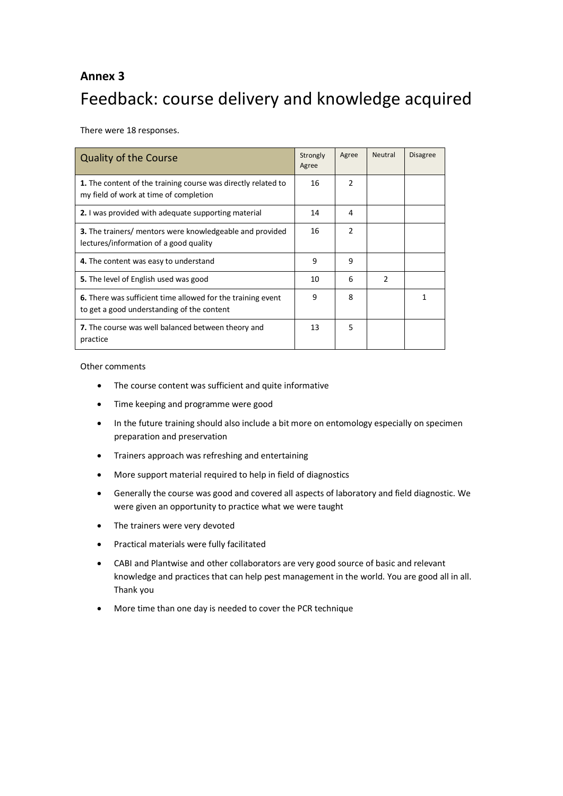# **Annex 3** Feedback: course delivery and knowledge acquired

There were 18 responses.

| <b>Quality of the Course</b>                                                                              | Strongly<br>Agree | Agree | Neutral | <b>Disagree</b> |
|-----------------------------------------------------------------------------------------------------------|-------------------|-------|---------|-----------------|
| 1. The content of the training course was directly related to<br>my field of work at time of completion   | 16                | 2     |         |                 |
| <b>2.</b> I was provided with adequate supporting material                                                | 14                | 4     |         |                 |
| <b>3.</b> The trainers/ mentors were knowledgeable and provided<br>lectures/information of a good quality | 16                | 2     |         |                 |
| 4. The content was easy to understand                                                                     | 9                 | 9     |         |                 |
| <b>5.</b> The level of English used was good                                                              | 10                | 6     | 2       |                 |
| 6. There was sufficient time allowed for the training event<br>to get a good understanding of the content | 9                 | 8     |         |                 |
| 7. The course was well balanced between theory and<br>practice                                            | 13                | 5     |         |                 |

Other comments

- The course content was sufficient and quite informative
- Time keeping and programme were good
- In the future training should also include a bit more on entomology especially on specimen preparation and preservation
- Trainers approach was refreshing and entertaining
- More support material required to help in field of diagnostics
- Generally the course was good and covered all aspects of laboratory and field diagnostic. We were given an opportunity to practice what we were taught
- The trainers were very devoted
- Practical materials were fully facilitated
- CABI and Plantwise and other collaborators are very good source of basic and relevant knowledge and practices that can help pest management in the world. You are good all in all. Thank you
- More time than one day is needed to cover the PCR technique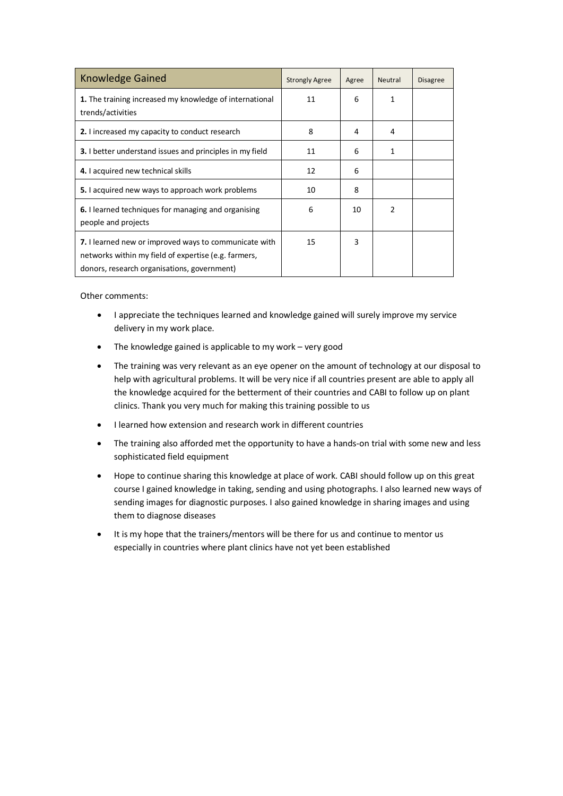| <b>Knowledge Gained</b>                                                                                                                                      | <b>Strongly Agree</b> | Agree | <b>Neutral</b> | <b>Disagree</b> |
|--------------------------------------------------------------------------------------------------------------------------------------------------------------|-----------------------|-------|----------------|-----------------|
| 1. The training increased my knowledge of international<br>trends/activities                                                                                 | 11                    | 6     | 1              |                 |
| 2. I increased my capacity to conduct research                                                                                                               | 8                     | 4     | 4              |                 |
| <b>3.</b> I better understand issues and principles in my field                                                                                              | 11                    | 6     | 1              |                 |
| 4. I acquired new technical skills                                                                                                                           | 12                    | 6     |                |                 |
| 5. I acquired new ways to approach work problems                                                                                                             | 10                    | 8     |                |                 |
| <b>6.</b> Hearned techniques for managing and organising<br>people and projects                                                                              | 6                     | 10    | $\mathfrak z$  |                 |
| 7. I learned new or improved ways to communicate with<br>networks within my field of expertise (e.g. farmers,<br>donors, research organisations, government) | 15                    | 3     |                |                 |

Other comments:

- I appreciate the techniques learned and knowledge gained will surely improve my service delivery in my work place.
- The knowledge gained is applicable to my work very good
- The training was very relevant as an eye opener on the amount of technology at our disposal to help with agricultural problems. It will be very nice if all countries present are able to apply all the knowledge acquired for the betterment of their countries and CABI to follow up on plant clinics. Thank you very much for making this training possible to us
- I learned how extension and research work in different countries
- The training also afforded met the opportunity to have a hands-on trial with some new and less sophisticated field equipment
- Hope to continue sharing this knowledge at place of work. CABI should follow up on this great course I gained knowledge in taking, sending and using photographs. I also learned new ways of sending images for diagnostic purposes. I also gained knowledge in sharing images and using them to diagnose diseases
- It is my hope that the trainers/mentors will be there for us and continue to mentor us especially in countries where plant clinics have not yet been established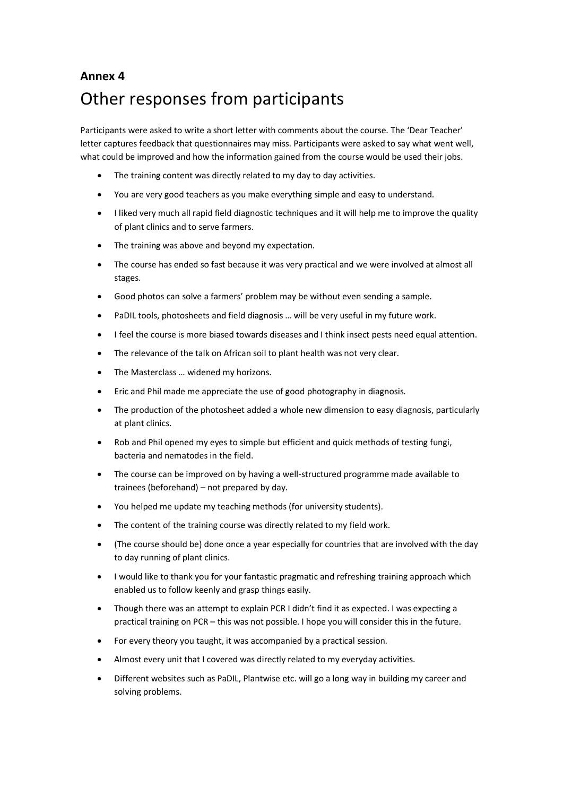## **Annex 4**

# Other responses from participants

Participants were asked to write a short letter with comments about the course. The 'Dear Teacher' letter captures feedback that questionnaires may miss. Participants were asked to say what went well, what could be improved and how the information gained from the course would be used their jobs.

- The training content was directly related to my day to day activities.
- You are very good teachers as you make everything simple and easy to understand.
- I liked very much all rapid field diagnostic techniques and it will help me to improve the quality of plant clinics and to serve farmers.
- The training was above and beyond my expectation.
- The course has ended so fast because it was very practical and we were involved at almost all stages.
- Good photos can solve a farmers' problem may be without even sending a sample.
- PaDIL tools, photosheets and field diagnosis ... will be very useful in my future work.
- I feel the course is more biased towards diseases and I think insect pests need equal attention.
- The relevance of the talk on African soil to plant health was not very clear.
- The Masterclass … widened my horizons.
- Eric and Phil made me appreciate the use of good photography in diagnosis.
- The production of the photosheet added a whole new dimension to easy diagnosis, particularly at plant clinics.
- Rob and Phil opened my eyes to simple but efficient and quick methods of testing fungi, bacteria and nematodes in the field.
- The course can be improved on by having a well-structured programme made available to trainees (beforehand) – not prepared by day.
- You helped me update my teaching methods (for university students).
- The content of the training course was directly related to my field work.
- (The course should be) done once a year especially for countries that are involved with the day to day running of plant clinics.
- I would like to thank you for your fantastic pragmatic and refreshing training approach which enabled us to follow keenly and grasp things easily.
- Though there was an attempt to explain PCR I didn't find it as expected. I was expecting a practical training on PCR – this was not possible. I hope you will consider this in the future.
- For every theory you taught, it was accompanied by a practical session.
- Almost every unit that I covered was directly related to my everyday activities.
- Different websites such as PaDIL, Plantwise etc. will go a long way in building my career and solving problems.